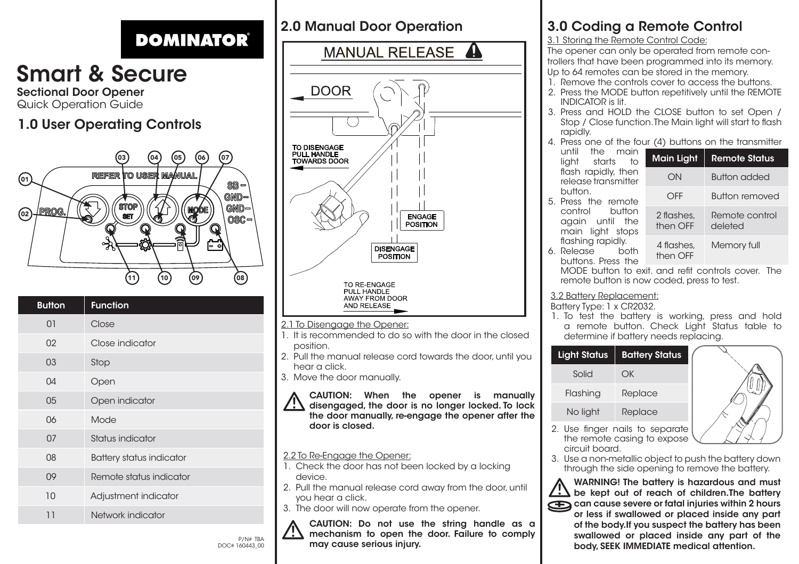## **DOMINATOR**

# Smart & Secure

Sectional Door Opener Quick Operation Guide

### 1.0 User Operating Controls



| <b>Button</b> | <b>Function</b>          |
|---------------|--------------------------|
| 01            | Close                    |
| 02            | Close indicator          |
| 03            | Stop                     |
| $\Omega$ 4    | Open                     |
| 05            | Open indicator           |
| 06            | Mode                     |
| 07            | Status indicator         |
| 08            | Battery status indicator |
| 09            | Remote status indicator  |
| 10            | Adjustment indicator     |
| 11            | Network indicator        |

### 2.0 Manual Door Operation



#### 2.2 To Re-Engage the Opener:

- 1. Check the door has not been locked by a locking device.
- 2. Pull the manual release cord away from the door, until you hear a click.
- 3. The door will now operate from the opener.



CAUTION: Do not use the string handle as a mechanism to open the door. Failure to comply  $P/N$ # TBA  $\overline{P/N}$  may cause serious injury.

### 3.0 Coding a Remote Control

#### 3.1 Storing the Remote Control Code:

The opener can only be operated from remote controllers that have been programmed into its memory.

- Up to 64 remotes can be stored in the memory.
- 1. Remove the controls cover to access the buttons.
- 2. Press the MODE button repetitively until the REMOTE INDICATOR is lit.
- 3. Press and HOLD the CLOSE button to set Open / Stop / Close function. The Main light will start to flash rapidly.
- 4. Press one of the four (4) buttons on the transmitter

| the main<br>until<br>starts<br>liaht       | to |      | Main Light   Remote Status |
|--------------------------------------------|----|------|----------------------------|
| flash rapidly, then<br>release transmitter |    | ON   | <b>Button added</b>        |
| button.                                    |    | OFF. | <b>Button removed</b>      |

5. Press the remote button again until the main light stops flashing rapidly. 6. Release

remote button is now coded, press to test.

#### 3.2 Battery Replacement:

Battery Type: 1 x CR2032.

1. To test the battery is working, press and hold a remote button. Check Light Status table to determine if battery needs replacing.





- the remote casing to expose circuit board.
- 3. Use a non-metallic object to push the battery down through the side opening to remove the battery.

WARNING! The battery is hazardous and must be kept out of reach of children.The battery can cause severe or fatal injuries within 2 hours or less if swallowed or placed inside any part of the body.If you suspect the battery has been swallowed or placed inside any part of the body, SEEK IMMEDIATE medical attention.



OFF Button removed 2 flashes then OFF Remote control deleted 4 flashes, Memory full

then OFF buttons. Press the MODE button to exit. and refit controls cover. The